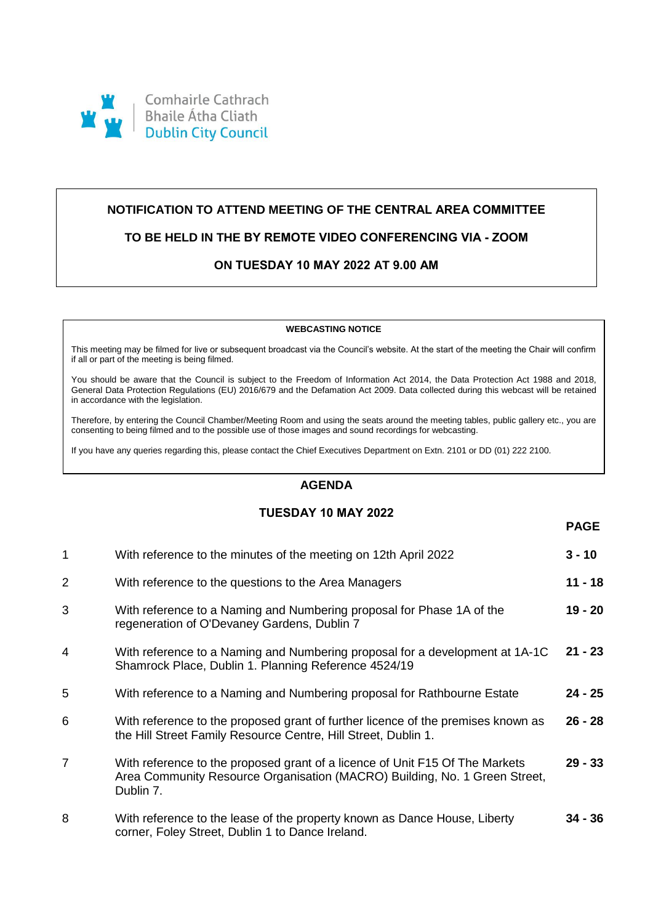

# **NOTIFICATION TO ATTEND MEETING OF THE CENTRAL AREA COMMITTEE**

## **TO BE HELD IN THE BY REMOTE VIDEO CONFERENCING VIA - ZOOM**

# **ON TUESDAY 10 MAY 2022 AT 9.00 AM**

#### **WEBCASTING NOTICE**

This meeting may be filmed for live or subsequent broadcast via the Council's website. At the start of the meeting the Chair will confirm if all or part of the meeting is being filmed.

You should be aware that the Council is subject to the Freedom of Information Act 2014, the Data Protection Act 1988 and 2018, General Data Protection Regulations (EU) 2016/679 and the Defamation Act 2009. Data collected during this webcast will be retained in accordance with the legislation.

Therefore, by entering the Council Chamber/Meeting Room and using the seats around the meeting tables, public gallery etc., you are consenting to being filmed and to the possible use of those images and sound recordings for webcasting.

If you have any queries regarding this, please contact the Chief Executives Department on Extn. 2101 or DD (01) 222 2100.

## **AGENDA**

### **TUESDAY 10 MAY 2022**

**PAGE**

| $\mathbf{1}$   | With reference to the minutes of the meeting on 12th April 2022                                                                                                         | $3 - 10$  |
|----------------|-------------------------------------------------------------------------------------------------------------------------------------------------------------------------|-----------|
| 2              | With reference to the questions to the Area Managers                                                                                                                    | 11 - 18   |
| 3              | With reference to a Naming and Numbering proposal for Phase 1A of the<br>regeneration of O'Devaney Gardens, Dublin 7                                                    | $19 - 20$ |
| 4              | With reference to a Naming and Numbering proposal for a development at 1A-1C<br>Shamrock Place, Dublin 1. Planning Reference 4524/19                                    | $21 - 23$ |
| 5              | With reference to a Naming and Numbering proposal for Rathbourne Estate                                                                                                 | $24 - 25$ |
| 6              | With reference to the proposed grant of further licence of the premises known as<br>the Hill Street Family Resource Centre, Hill Street, Dublin 1.                      | $26 - 28$ |
| $\overline{7}$ | With reference to the proposed grant of a licence of Unit F15 Of The Markets<br>Area Community Resource Organisation (MACRO) Building, No. 1 Green Street,<br>Dublin 7. | $29 - 33$ |
| 8              | With reference to the lease of the property known as Dance House, Liberty<br>corner, Foley Street, Dublin 1 to Dance Ireland.                                           | 34 - 36   |